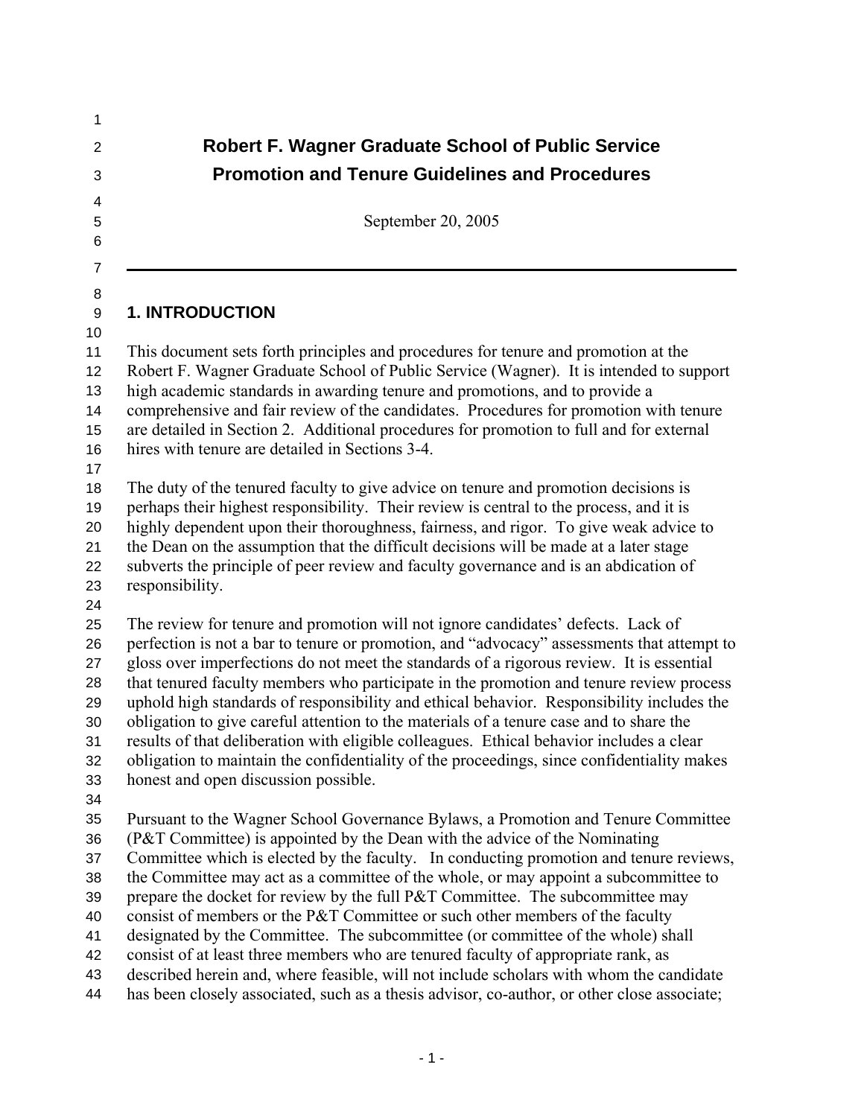| <b>Robert F. Wagner Graduate School of Public Service</b>                                                                                                                                                                                                                                                                                                                                                                                                                                                                                                                                                                                                                                                                                                                                                                                                                           |
|-------------------------------------------------------------------------------------------------------------------------------------------------------------------------------------------------------------------------------------------------------------------------------------------------------------------------------------------------------------------------------------------------------------------------------------------------------------------------------------------------------------------------------------------------------------------------------------------------------------------------------------------------------------------------------------------------------------------------------------------------------------------------------------------------------------------------------------------------------------------------------------|
| <b>Promotion and Tenure Guidelines and Procedures</b>                                                                                                                                                                                                                                                                                                                                                                                                                                                                                                                                                                                                                                                                                                                                                                                                                               |
| September 20, 2005                                                                                                                                                                                                                                                                                                                                                                                                                                                                                                                                                                                                                                                                                                                                                                                                                                                                  |
| <b>1. INTRODUCTION</b>                                                                                                                                                                                                                                                                                                                                                                                                                                                                                                                                                                                                                                                                                                                                                                                                                                                              |
| This document sets forth principles and procedures for tenure and promotion at the<br>Robert F. Wagner Graduate School of Public Service (Wagner). It is intended to support<br>high academic standards in awarding tenure and promotions, and to provide a<br>comprehensive and fair review of the candidates. Procedures for promotion with tenure<br>are detailed in Section 2. Additional procedures for promotion to full and for external<br>hires with tenure are detailed in Sections 3-4.                                                                                                                                                                                                                                                                                                                                                                                  |
| The duty of the tenured faculty to give advice on tenure and promotion decisions is<br>perhaps their highest responsibility. Their review is central to the process, and it is<br>highly dependent upon their thoroughness, fairness, and rigor. To give weak advice to<br>the Dean on the assumption that the difficult decisions will be made at a later stage<br>subverts the principle of peer review and faculty governance and is an abdication of<br>responsibility.                                                                                                                                                                                                                                                                                                                                                                                                         |
| The review for tenure and promotion will not ignore candidates' defects. Lack of<br>perfection is not a bar to tenure or promotion, and "advocacy" assessments that attempt to<br>gloss over imperfections do not meet the standards of a rigorous review. It is essential<br>that tenured faculty members who participate in the promotion and tenure review process<br>uphold high standards of responsibility and ethical behavior. Responsibility includes the<br>obligation to give careful attention to the materials of a tenure case and to share the<br>results of that deliberation with eligible colleagues. Ethical behavior includes a clear<br>obligation to maintain the confidentiality of the proceedings, since confidentiality makes<br>honest and open discussion possible.                                                                                     |
| Pursuant to the Wagner School Governance Bylaws, a Promotion and Tenure Committee<br>(P&T Committee) is appointed by the Dean with the advice of the Nominating<br>Committee which is elected by the faculty. In conducting promotion and tenure reviews,<br>the Committee may act as a committee of the whole, or may appoint a subcommittee to<br>prepare the docket for review by the full P&T Committee. The subcommittee may<br>consist of members or the P&T Committee or such other members of the faculty<br>designated by the Committee. The subcommittee (or committee of the whole) shall<br>consist of at least three members who are tenured faculty of appropriate rank, as<br>described herein and, where feasible, will not include scholars with whom the candidate<br>has been closely associated, such as a thesis advisor, co-author, or other close associate; |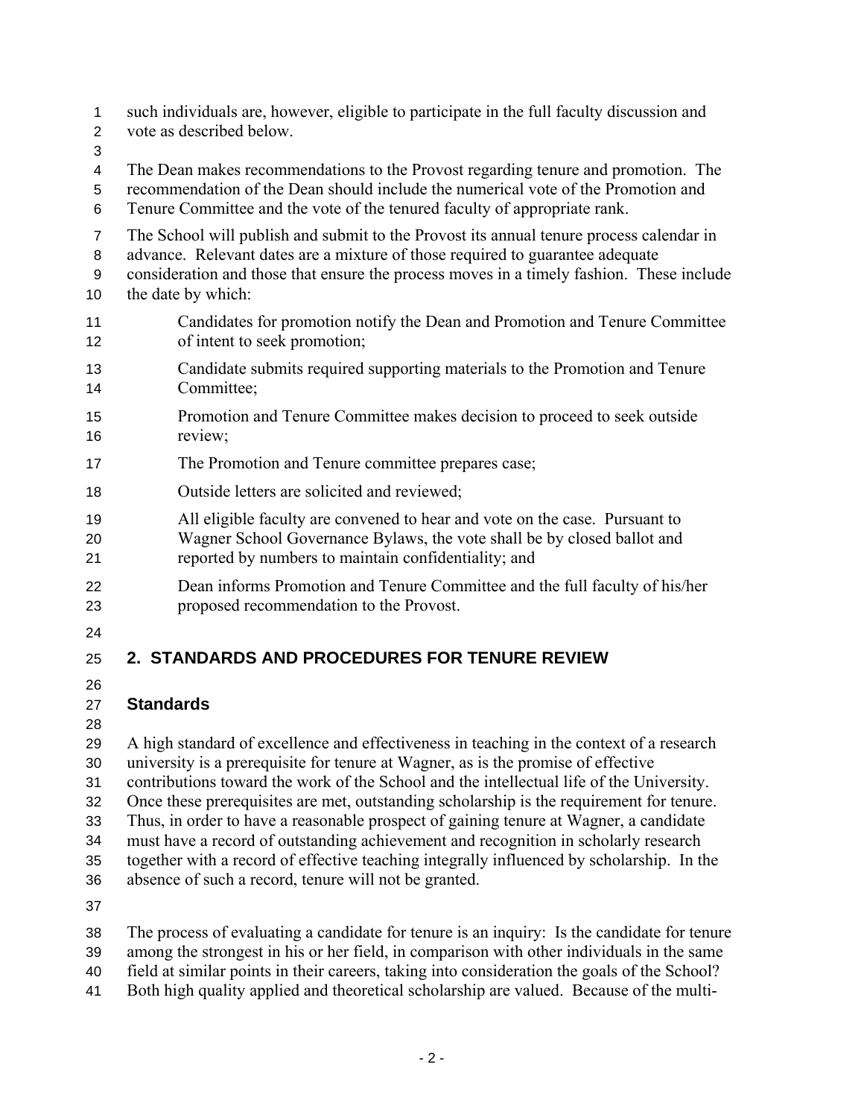- such individuals are, however, eligible to participate in the full faculty discussion and 1
- vote as described below. 2
- 3
- 4 The Dean makes recommendations to the Provost regarding tenure and promotion. The
- 5 recommendation of the Dean should include the numerical vote of the Promotion and
- 6 Tenure Committee and the vote of the tenured faculty of appropriate rank.
- 7 The School will publish and submit to the Provost its annual tenure process calendar in
- 8 advance. Relevant dates are a mixture of those required to guarantee adequate
- 9 consideration and those that ensure the process moves in a timely fashion. These include
- 10 the date by which:
- 11 12 Candidates for promotion notify the Dean and Promotion and Tenure Committee of intent to seek promotion;
- 13 14 Candidate submits required supporting materials to the Promotion and Tenure Committee;
- 15 16 Promotion and Tenure Committee makes decision to proceed to seek outside review;
- 17 The Promotion and Tenure committee prepares case;
- 18 Outside letters are solicited and reviewed;
- 19 All eligible faculty are convened to hear and vote on the case. Pursuant to
- 20 21 Wagner School Governance Bylaws, the vote shall be by closed ballot and reported by numbers to maintain confidentiality; and
- 22 23 Dean informs Promotion and Tenure Committee and the full faculty of his/her proposed recommendation to the Provost.
- 24

### 25 **2. STANDARDS AND PROCEDURES FOR TENURE REVIEW**

26

#### 27 **Standards**

28

29 30 A high standard of excellence and effectiveness in teaching in the context of a research university is a prerequisite for tenure at Wagner, as is the promise of effective

31 contributions toward the work of the School and the intellectual life of the University.

- 32 Once these prerequisites are met, outstanding scholarship is the requirement for tenure.
- 33 Thus, in order to have a reasonable prospect of gaining tenure at Wagner, a candidate
- 34 must have a record of outstanding achievement and recognition in scholarly research
- 35 together with a record of effective teaching integrally influenced by scholarship. In the
- 36 absence of such a record, tenure will not be granted.

37

- 38 The process of evaluating a candidate for tenure is an inquiry: Is the candidate for tenure
- 39 among the strongest in his or her field, in comparison with other individuals in the same
- 40 field at similar points in their careers, taking into consideration the goals of the School?
- 41 Both high quality applied and theoretical scholarship are valued.Because of the multi-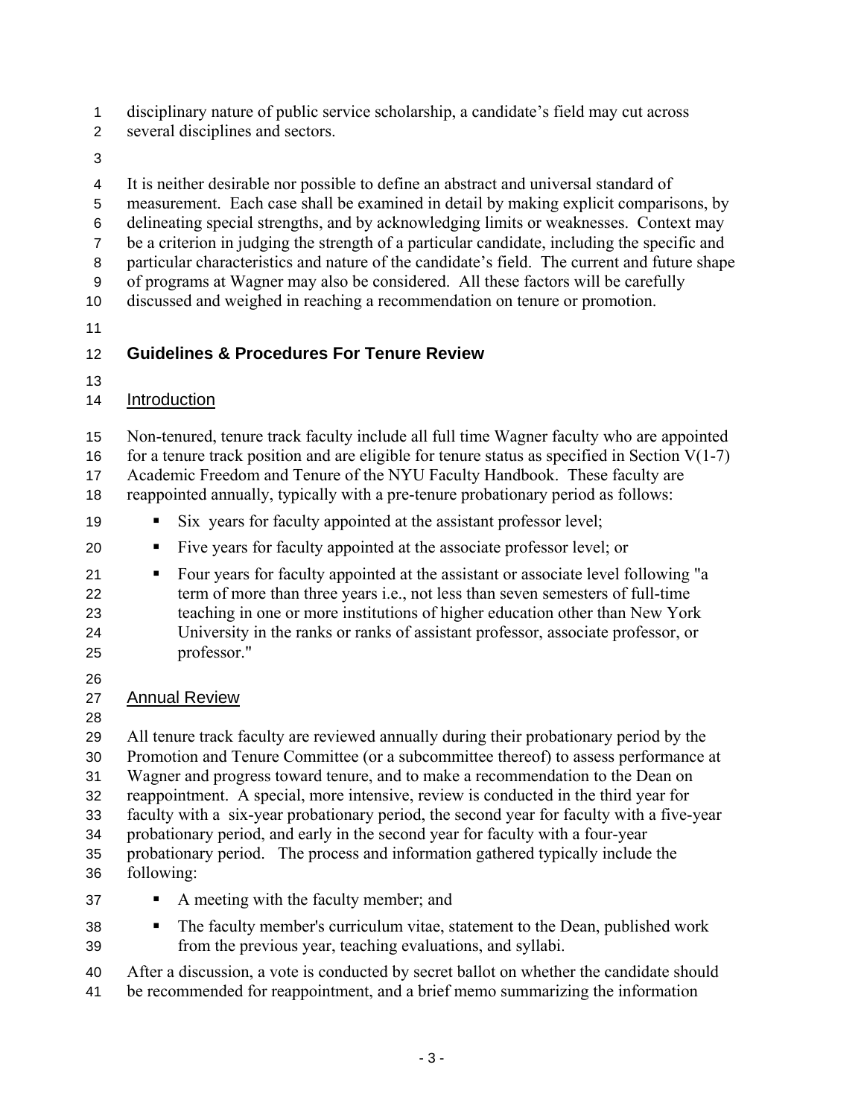disciplinary nature of public service scholarship, a candidate's field may cut across 1

several disciplines and sectors. 2

3

4 It is neither desirable nor possible to define an abstract and universal standard of

5 measurement. Each case shall be examined in detail by making explicit comparisons, by

6 delineating special strengths, and by acknowledging limits or weaknesses. Context may

7 be a criterion in judging the strength of a particular candidate, including the specific and

8 particular characteristics and nature of the candidate's field. The current and future shape

9 10 of programs at Wagner may also be considered. All these factors will be carefully discussed and weighed in reaching a recommendation on tenure or promotion.

11

### 12 **Guidelines & Procedures For Tenure Review**

13

### 14 Introduction

15 Non-tenured, tenure track faculty include all full time Wagner faculty who are appointed for a tenure track position and are eligible for tenure status as specified in Section  $V(1-7)$ 

16 17 Academic Freedom and Tenure of the NYU Faculty Handbook. These faculty are

18 reappointed annually, typically with a pre-tenure probationary period as follows:

- 19 Six years for faculty appointed at the assistant professor level;
- 20 Five years for faculty appointed at the associate professor level; or
- 21 22 23 24 25 Four years for faculty appointed at the assistant or associate level following "a term of more than three years i.e., not less than seven semesters of full-time teaching in one or more institutions of higher education other than New York University in the ranks or ranks of assistant professor, associate professor, or professor."
- 26

# 27 Annual Review

28

29 30 31 32 33 34 35 36 37 All tenure track faculty are reviewed annually during their probationary period by the Promotion and Tenure Committee (or a subcommittee thereof) to assess performance at Wagner and progress toward tenure, and to make a recommendation to the Dean on reappointment. A special, more intensive, review is conducted in the third year for faculty with a six-year probationary period, the second year for faculty with a five-year probationary period, and early in the second year for faculty with a four-year probationary period. The process and information gathered typically include the following: A meeting with the faculty member; and

- 
- 38 39 • The faculty member's curriculum vitae, statement to the Dean, published work from the previous year, teaching evaluations, and syllabi.

40 After a discussion, a vote is conducted by secret ballot on whether the candidate should

41 be recommended for reappointment, and a brief memo summarizing the information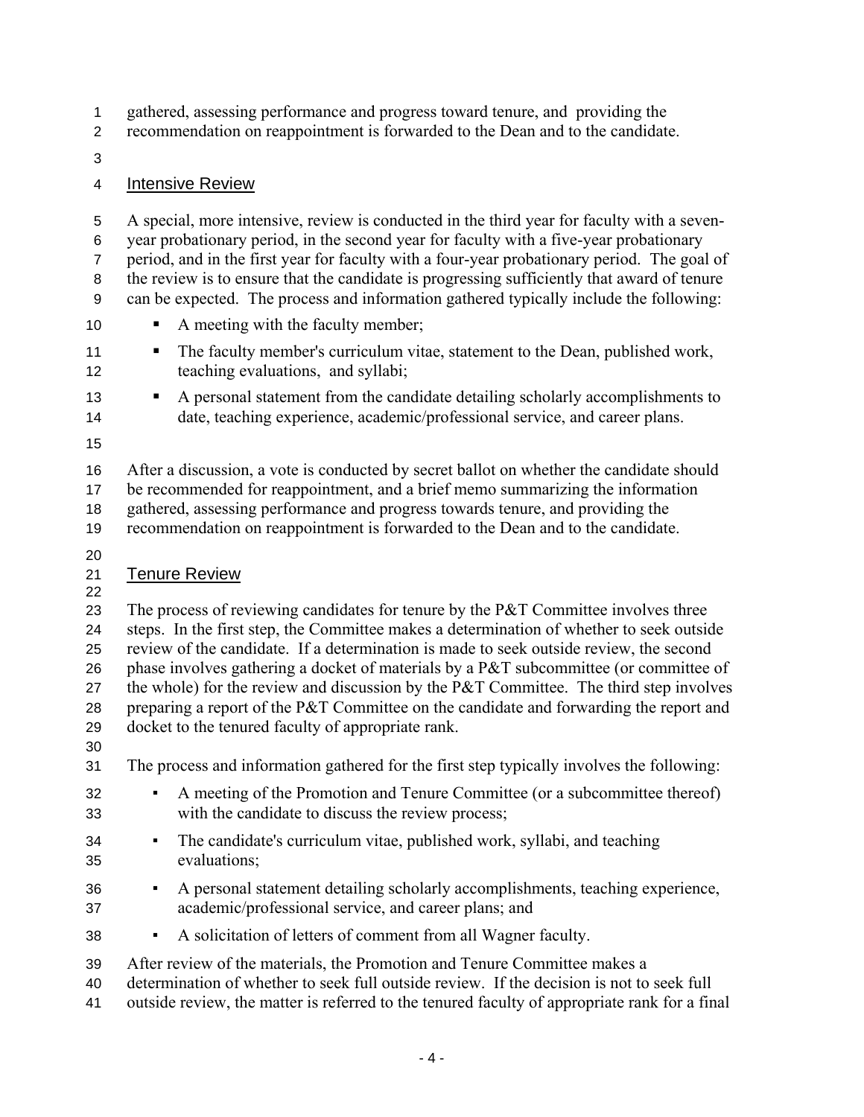gathered, assessing performance and progress toward tenure, and providing the 1

recommendation on reappointment is forwarded to the Dean and to the candidate. 2

3

### 4 Intensive Review

5 6 7 8 9 A special, more intensive, review is conducted in the third year for faculty with a sevenyear probationary period, in the second year for faculty with a five-year probationary period, and in the first year for faculty with a four-year probationary period. The goal of the review is to ensure that the candidate is progressing sufficiently that award of tenure can be expected. The process and information gathered typically include the following:

- 10 A meeting with the faculty member;
- 11 12 The faculty member's curriculum vitae, statement to the Dean, published work, teaching evaluations, and syllabi;
- 13 14 A personal statement from the candidate detailing scholarly accomplishments to date, teaching experience, academic/professional service, and career plans.
- 15

16 17 18 After a discussion, a vote is conducted by secret ballot on whether the candidate should be recommended for reappointment, and a brief memo summarizing the information gathered, assessing performance and progress towards tenure, and providing the

- 19 recommendation on reappointment is forwarded to the Dean and to the candidate.
- 20

### 21 Tenure Review

22

23 24 25 26 27 28 29 The process of reviewing candidates for tenure by the P&T Committee involves three steps. In the first step, the Committee makes a determination of whether to seek outside review of the candidate. If a determination is made to seek outside review, the second phase involves gathering a docket of materials by a P&T subcommittee (or committee of the whole) for the review and discussion by the P&T Committee. The third step involves preparing a report of the P&T Committee on the candidate and forwarding the report and docket to the tenured faculty of appropriate rank.

30

31 The process and information gathered for the first step typically involves the following:

- 32 33 A meeting of the Promotion and Tenure Committee (or a subcommittee thereof) with the candidate to discuss the review process;
- 34 35 ▪ The candidate's curriculum vitae, published work, syllabi, and teaching evaluations;
- 36 37 ▪ A personal statement detailing scholarly accomplishments, teaching experience, academic/professional service, and career plans; and
- 38 ▪ A solicitation of letters of comment from all Wagner faculty.

39 After review of the materials, the Promotion and Tenure Committee makes a

- 40 determination of whether to seek full outside review. If the decision is not to seek full
- 41 outside review, the matter is referred to the tenured faculty of appropriate rank for a final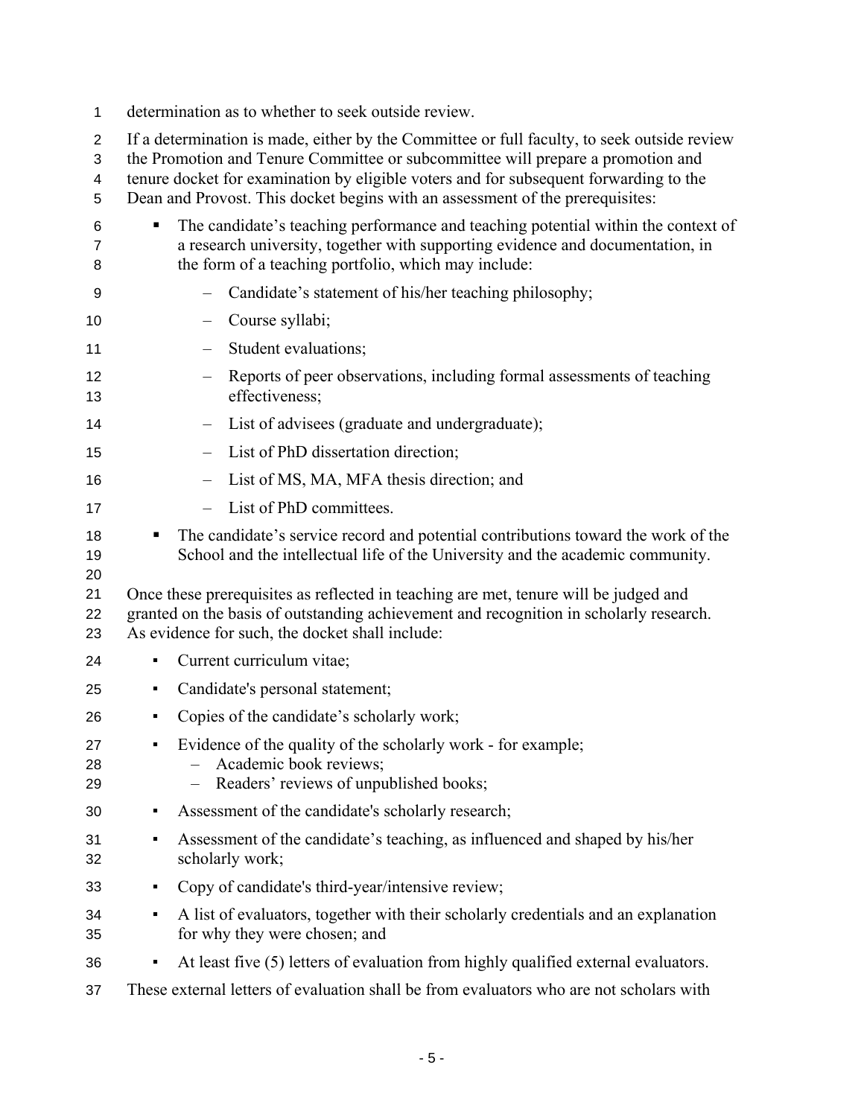- 1 determination as to whether to seek outside review.
- 2 If a determination is made, either by the Committee or full faculty, to seek outside review
- 3 the Promotion and Tenure Committee or subcommittee will prepare a promotion and
- 4 tenure docket for examination by eligible voters and for subsequent forwarding to the
- 5 Dean and Provost. This docket begins with an assessment of the prerequisites:
- 6 7 8 9 10 11 12 13 14 15 16 17 18 19 20 21 22 23 24 25 26 27 28 29 30 31 32 33 34 35 36 37 • The candidate's teaching performance and teaching potential within the context of a research university, together with supporting evidence and documentation, in the form of a teaching portfolio, which may include: – Candidate's statement of his/her teaching philosophy; – Course syllabi; – Student evaluations; – Reports of peer observations, including formal assessments of teaching effectiveness; – List of advisees (graduate and undergraduate); – List of PhD dissertation direction; – List of MS, MA, MFA thesis direction; and – List of PhD committees. The candidate's service record and potential contributions toward the work of the School and the intellectual life of the University and the academic community. Once these prerequisites as reflected in teaching are met, tenure will be judged and granted on the basis of outstanding achievement and recognition in scholarly research. As evidence for such, the docket shall include: ▪ Current curriculum vitae; • Candidate's personal statement; • Copies of the candidate's scholarly work; ▪ Evidence of the quality of the scholarly work - for example; – Academic book reviews; – Readers' reviews of unpublished books; ▪ Assessment of the candidate's scholarly research; ▪ Assessment of the candidate's teaching, as influenced and shaped by his/her scholarly work; ▪ Copy of candidate's third-year/intensive review; ▪ A list of evaluators, together with their scholarly credentials and an explanation for why they were chosen; and ▪ At least five (5) letters of evaluation from highly qualified external evaluators. These external letters of evaluation shall be from evaluators who are not scholars with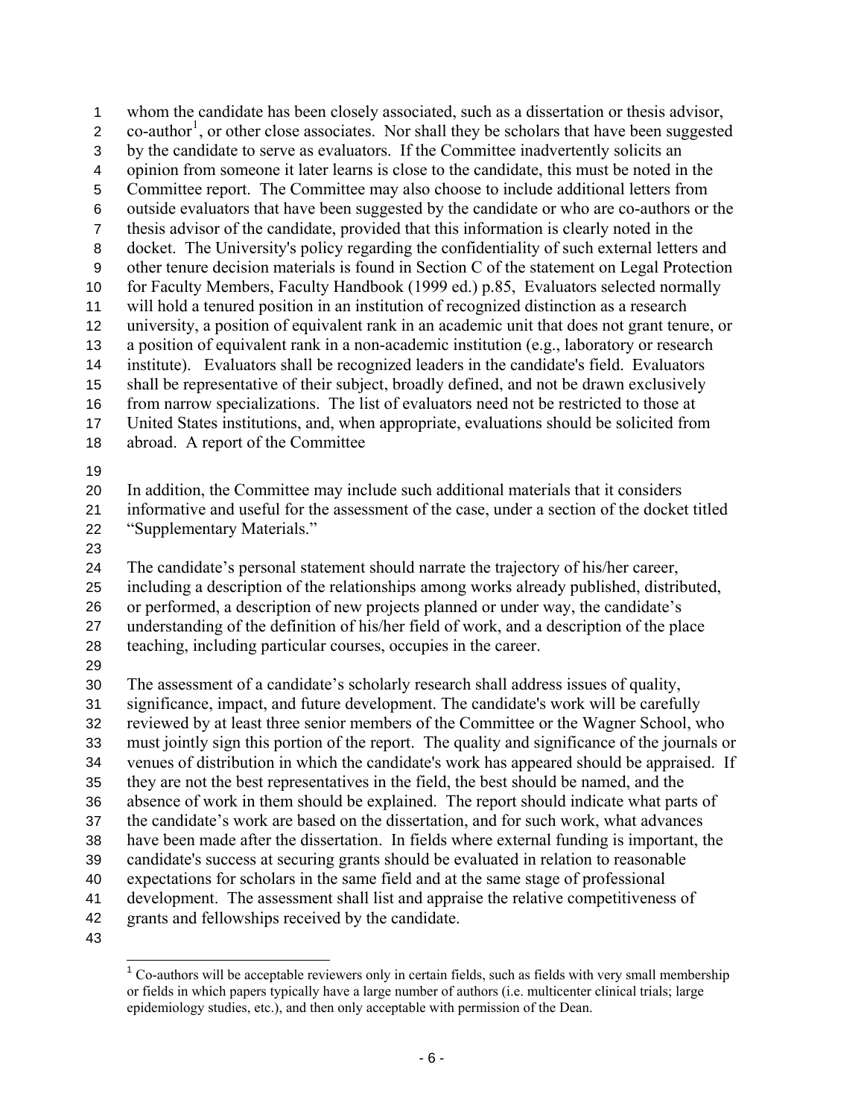whom the candidate has been closely associated, such as a dissertation or thesis advisor,  $\text{co}-\text{author}^1$  $\text{co}-\text{author}^1$ , or other close associates. Nor shall they be scholars that have been suggested 1 2 3 4 5 6 7 8 9 10 11 12 13 14 15 16 17 18 19 20 21 22 23 24 25 26 27 28 29 30 31 32 33 by the candidate to serve as evaluators. If the Committee inadvertently solicits an opinion from someone it later learns is close to the candidate, this must be noted in the Committee report. The Committee may also choose to include additional letters from outside evaluators that have been suggested by the candidate or who are co-authors or the thesis advisor of the candidate, provided that this information is clearly noted in the docket. The University's policy regarding the confidentiality of such external letters and other tenure decision materials is found in Section C of the statement on Legal Protection for Faculty Members, Faculty Handbook (1999 ed.) p.85, Evaluators selected normally will hold a tenured position in an institution of recognized distinction as a research university, a position of equivalent rank in an academic unit that does not grant tenure, or a position of equivalent rank in a non-academic institution (e.g., laboratory or research institute). Evaluators shall be recognized leaders in the candidate's field. Evaluators shall be representative of their subject, broadly defined, and not be drawn exclusively from narrow specializations. The list of evaluators need not be restricted to those at United States institutions, and, when appropriate, evaluations should be solicited from abroad. A report of the Committee In addition, the Committee may include such additional materials that it considers informative and useful for the assessment of the case, under a section of the docket titled "Supplementary Materials." The candidate's personal statement should narrate the trajectory of his/her career, including a description of the relationships among works already published, distributed, or performed, a description of new projects planned or under way, the candidate's understanding of the definition of his/her field of work, and a description of the place teaching, including particular courses, occupies in the career. The assessment of a candidate's scholarly research shall address issues of quality, significance, impact, and future development. The candidate's work will be carefully reviewed by at least three senior members of the Committee or the Wagner School, who must jointly sign this portion of the report. The quality and significance of the journals or

- 34 venues of distribution in which the candidate's work has appeared should be appraised. If
- 35 they are not the best representatives in the field, the best should be named, and the
- 36 37 absence of work in them should be explained. The report should indicate what parts of the candidate's work are based on the dissertation, and for such work, what advances
- 38 have been made after the dissertation. In fields where external funding is important, the
- 39 candidate's success at securing grants should be evaluated in relation to reasonable
- 40 expectations for scholars in the same field and at the same stage of professional
- 41 development. The assessment shall list and appraise the relative competitiveness of
- 42 grants and fellowships received by the candidate.
- <span id="page-5-0"></span>43

 $\overline{a}$  $1$  Co-authors will be acceptable reviewers only in certain fields, such as fields with very small membership or fields in which papers typically have a large number of authors (i.e. multicenter clinical trials; large epidemiology studies, etc.), and then only acceptable with permission of the Dean.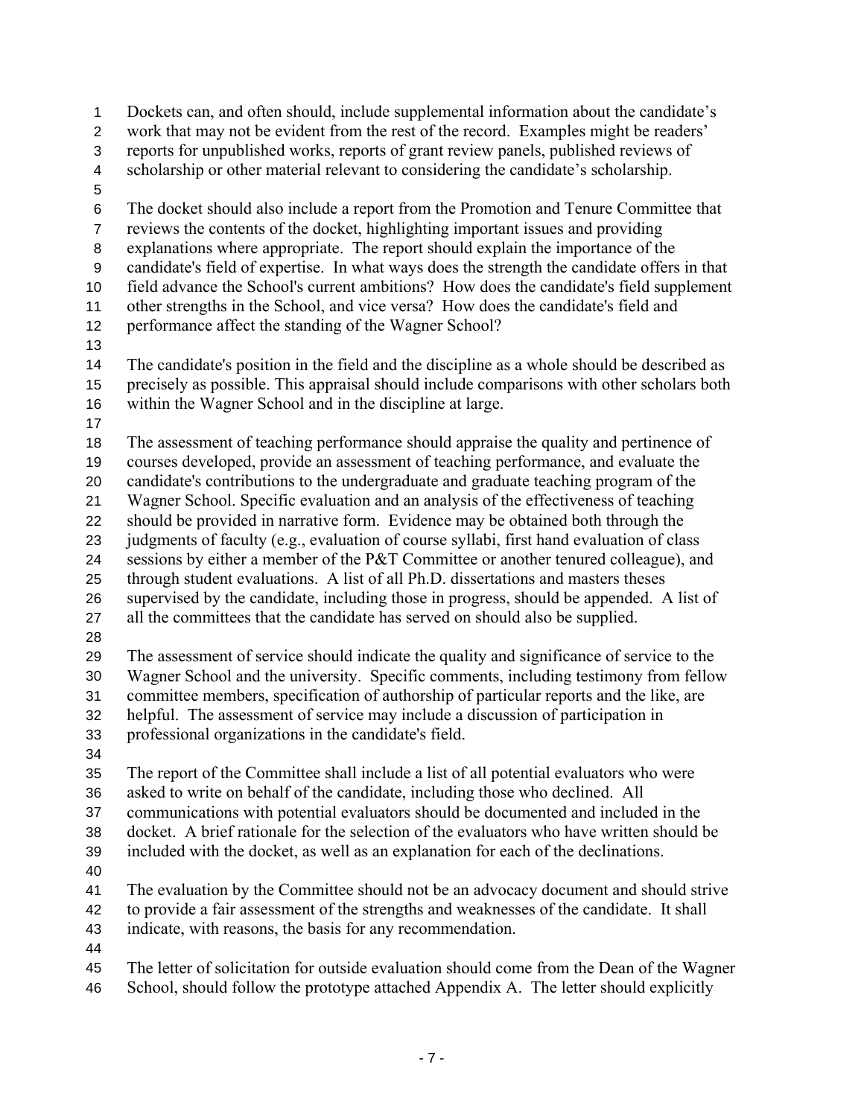Dockets can, and often should, include supplemental information about the candidate's work that may not be evident from the rest of the record. Examples might be readers' reports for unpublished works, reports of grant review panels, published reviews of scholarship or other material relevant to considering the candidate's scholarship. 1 2 3 4 5 6 7 8 9 10 11 12 13 14 15 16 17 18 19 20 21 22 23 24 25 26 27 28 29 30 31 32 33 34 35 36 37 38 39 40 41 42 43 44 45 46 The docket should also include a report from the Promotion and Tenure Committee that reviews the contents of the docket, highlighting important issues and providing explanations where appropriate. The report should explain the importance of the candidate's field of expertise. In what ways does the strength the candidate offers in that field advance the School's current ambitions? How does the candidate's field supplement other strengths in the School, and vice versa? How does the candidate's field and performance affect the standing of the Wagner School? The candidate's position in the field and the discipline as a whole should be described as precisely as possible. This appraisal should include comparisons with other scholars both within the Wagner School and in the discipline at large. The assessment of teaching performance should appraise the quality and pertinence of courses developed, provide an assessment of teaching performance, and evaluate the candidate's contributions to the undergraduate and graduate teaching program of the Wagner School. Specific evaluation and an analysis of the effectiveness of teaching should be provided in narrative form. Evidence may be obtained both through the judgments of faculty (e.g., evaluation of course syllabi, first hand evaluation of class sessions by either a member of the P&T Committee or another tenured colleague), and through student evaluations. A list of all Ph.D. dissertations and masters theses supervised by the candidate, including those in progress, should be appended. A list of all the committees that the candidate has served on should also be supplied. The assessment of service should indicate the quality and significance of service to the Wagner School and the university. Specific comments, including testimony from fellow committee members, specification of authorship of particular reports and the like, are helpful. The assessment of service may include a discussion of participation in professional organizations in the candidate's field. The report of the Committee shall include a list of all potential evaluators who were asked to write on behalf of the candidate, including those who declined. All communications with potential evaluators should be documented and included in the docket. A brief rationale for the selection of the evaluators who have written should be included with the docket, as well as an explanation for each of the declinations. The evaluation by the Committee should not be an advocacy document and should strive to provide a fair assessment of the strengths and weaknesses of the candidate. It shall indicate, with reasons, the basis for any recommendation. The letter of solicitation for outside evaluation should come from the Dean of the Wagner School, should follow the prototype attached Appendix A. The letter should explicitly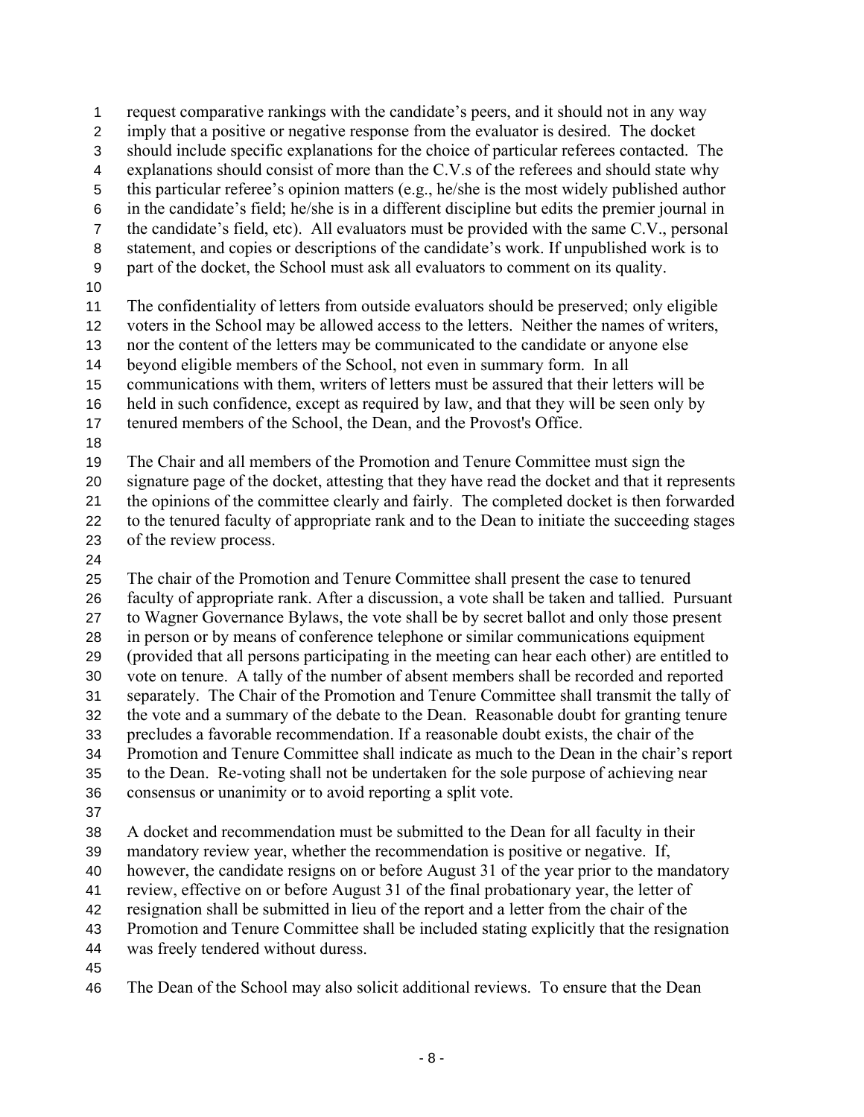imply that a positive or negative response from the evaluator is desired. The docket should include specific explanations for the choice of particular referees contacted. The explanations should consist of more than the C.V.s of the referees and should state why this particular referee's opinion matters (e.g., he/she is the most widely published author in the candidate's field; he/she is in a different discipline but edits the premier journal in the candidate's field, etc). All evaluators must be provided with the same C.V., personal statement, and copies or descriptions of the candidate's work. If unpublished work is to part of the docket, the School must ask all evaluators to comment on its quality. 3 4 5 6 7 8 9 10 11 12 13 14 15 16 17 18 19 The confidentiality of letters from outside evaluators should be preserved; only eligible voters in the School may be allowed access to the letters. Neither the names of writers, nor the content of the letters may be communicated to the candidate or anyone else beyond eligible members of the School, not even in summary form. In all communications with them, writers of letters must be assured that their letters will be held in such confidence, except as required by law, and that they will be seen only by tenured members of the School, the Dean, and the Provost's Office. The Chair and all members of the Promotion and Tenure Committee must sign the signature page of the docket, attesting that they have read the docket and that it represents

request comparative rankings with the candidate's peers, and it should not in any way

20 21 22 23 the opinions of the committee clearly and fairly. The completed docket is then forwarded to the tenured faculty of appropriate rank and to the Dean to initiate the succeeding stages of the review process.

24

1 2

25 26 27 28 29 30 31 32 33 34 35 36 The chair of the Promotion and Tenure Committee shall present the case to tenured faculty of appropriate rank. After a discussion, a vote shall be taken and tallied. Pursuant to Wagner Governance Bylaws, the vote shall be by secret ballot and only those present in person or by means of conference telephone or similar communications equipment (provided that all persons participating in the meeting can hear each other) are entitled to vote on tenure. A tally of the number of absent members shall be recorded and reported separately. The Chair of the Promotion and Tenure Committee shall transmit the tally of the vote and a summary of the debate to the Dean. Reasonable doubt for granting tenure precludes a favorable recommendation. If a reasonable doubt exists, the chair of the Promotion and Tenure Committee shall indicate as much to the Dean in the chair's report to the Dean. Re-voting shall not be undertaken for the sole purpose of achieving near consensus or unanimity or to avoid reporting a split vote.

37

38 A docket and recommendation must be submitted to the Dean for all faculty in their

39 mandatory review year, whether the recommendation is positive or negative. If,

40 however, the candidate resigns on or before August 31 of the year prior to the mandatory

41 review, effective on or before August 31 of the final probationary year, the letter of

42 resignation shall be submitted in lieu of the report and a letter from the chair of the

43 Promotion and Tenure Committee shall be included stating explicitly that the resignation

44 was freely tendered without duress.

45

46 The Dean of the School may also solicit additional reviews. To ensure that the Dean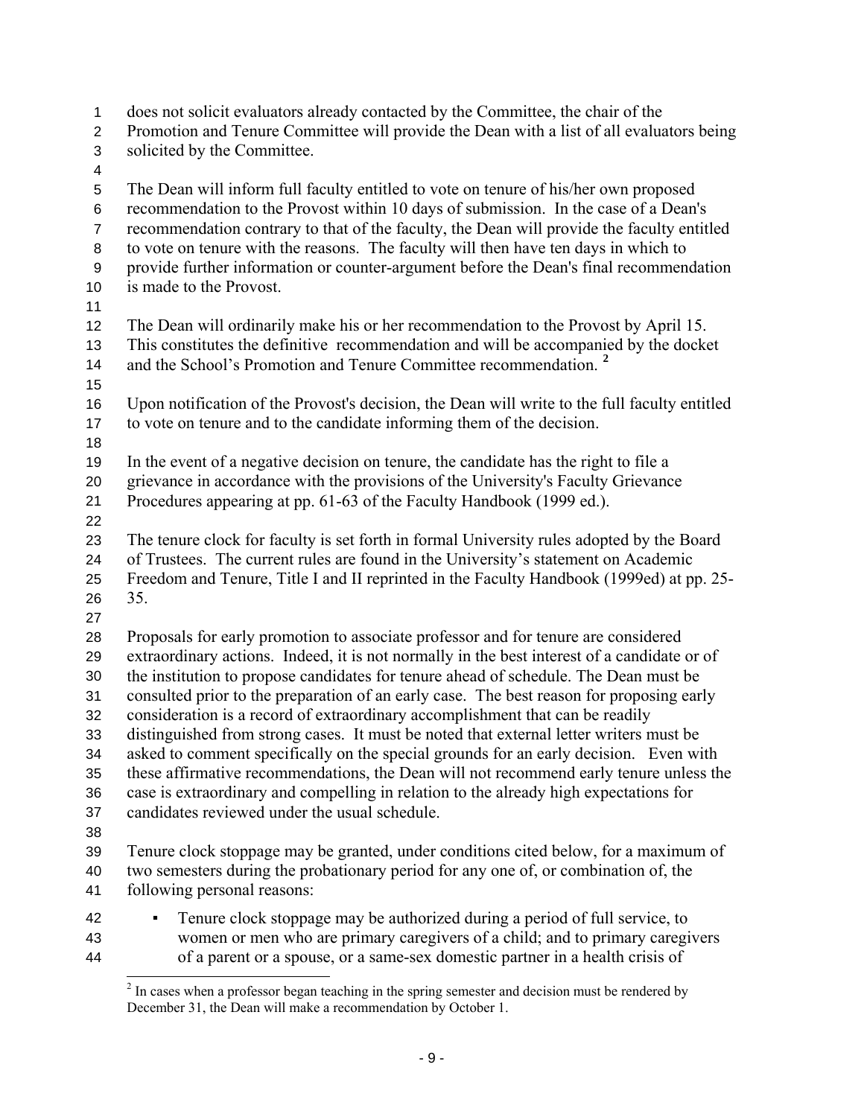does not solicit evaluators already contacted by the Committee, the chair of the Promotion and Tenure Committee will provide the Dean with a list of all evaluators being solicited by the Committee. 1 2 3 4 5 6 7 8 9 10 11 12 13 14 15 16 17 18 19 20 21 22 23 24 25 26 27 28 29 30 31 32 33 34 35 36 37 38 39 40 41 42 43 44 The Dean will inform full faculty entitled to vote on tenure of his/her own proposed recommendation to the Provost within 10 days of submission. In the case of a Dean's recommendation contrary to that of the faculty, the Dean will provide the faculty entitled to vote on tenure with the reasons. The faculty will then have ten days in which to provide further information or counter-argument before the Dean's final recommendation is made to the Provost. The Dean will ordinarily make his or her recommendation to the Provost by April 15. This constitutes the definitive recommendation and will be accompanied by the docket and the School's Promotion and Tenure Committee recommendation. **[2](#page-8-0)** Upon notification of the Provost's decision, the Dean will write to the full faculty entitled to vote on tenure and to the candidate informing them of the decision. In the event of a negative decision on tenure, the candidate has the right to file a grievance in accordance with the provisions of the University's Faculty Grievance Procedures appearing at pp. 61-63 of the Faculty Handbook (1999 ed.). The tenure clock for faculty is set forth in formal University rules adopted by the Board of Trustees. The current rules are found in the University's statement on Academic Freedom and Tenure, Title I and II reprinted in the Faculty Handbook (1999ed) at pp. 25- 35. Proposals for early promotion to associate professor and for tenure are considered extraordinary actions. Indeed, it is not normally in the best interest of a candidate or of the institution to propose candidates for tenure ahead of schedule. The Dean must be consulted prior to the preparation of an early case. The best reason for proposing early consideration is a record of extraordinary accomplishment that can be readily distinguished from strong cases. It must be noted that external letter writers must be asked to comment specifically on the special grounds for an early decision. Even with these affirmative recommendations, the Dean will not recommend early tenure unless the case is extraordinary and compelling in relation to the already high expectations for candidates reviewed under the usual schedule. Tenure clock stoppage may be granted, under conditions cited below, for a maximum of two semesters during the probationary period for any one of, or combination of, the following personal reasons: ▪ Tenure clock stoppage may be authorized during a period of full service, to women or men who are primary caregivers of a child; and to primary caregivers of a parent or a spouse, or a same-sex domestic partner in a health crisis of

<span id="page-8-0"></span><sup>&</sup>lt;sup>2</sup> In cases when a professor began teaching in the spring semester and decision must be rendered by December 31, the Dean will make a recommendation by October 1.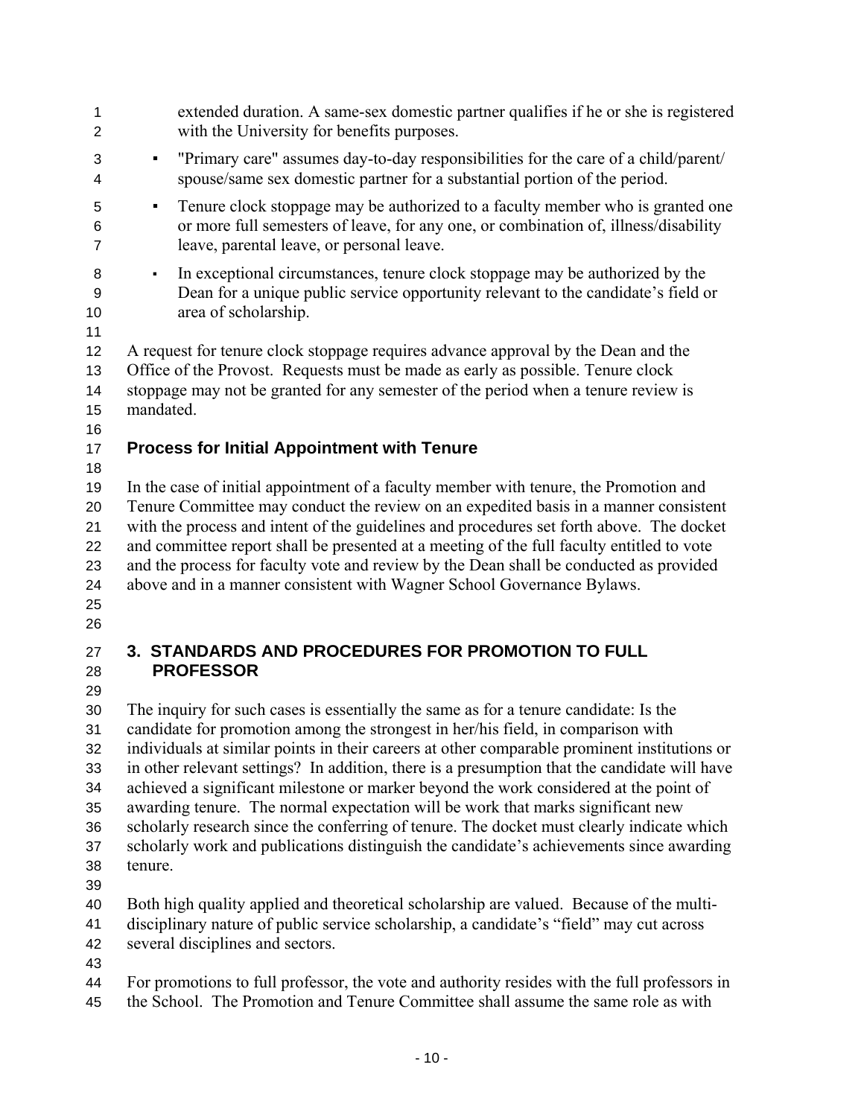| 1<br>$\overline{2}$                                | extended duration. A same-sex domestic partner qualifies if he or she is registered<br>with the University for benefits purposes.                                                                                                                                                                                                                                                                                                                                                                                                                                                                                                                                                                                                                       |
|----------------------------------------------------|---------------------------------------------------------------------------------------------------------------------------------------------------------------------------------------------------------------------------------------------------------------------------------------------------------------------------------------------------------------------------------------------------------------------------------------------------------------------------------------------------------------------------------------------------------------------------------------------------------------------------------------------------------------------------------------------------------------------------------------------------------|
| 3<br>4                                             | "Primary care" assumes day-to-day responsibilities for the care of a child/parent/<br>٠<br>spouse/same sex domestic partner for a substantial portion of the period.                                                                                                                                                                                                                                                                                                                                                                                                                                                                                                                                                                                    |
| 5<br>6<br>$\overline{7}$                           | Tenure clock stoppage may be authorized to a faculty member who is granted one<br>$\blacksquare$<br>or more full semesters of leave, for any one, or combination of, illness/disability<br>leave, parental leave, or personal leave.                                                                                                                                                                                                                                                                                                                                                                                                                                                                                                                    |
| 8<br>9<br>10<br>11                                 | In exceptional circumstances, tenure clock stoppage may be authorized by the<br>$\blacksquare$<br>Dean for a unique public service opportunity relevant to the candidate's field or<br>area of scholarship.                                                                                                                                                                                                                                                                                                                                                                                                                                                                                                                                             |
| 12<br>13<br>14<br>15<br>16                         | A request for tenure clock stoppage requires advance approval by the Dean and the<br>Office of the Provost. Requests must be made as early as possible. Tenure clock<br>stoppage may not be granted for any semester of the period when a tenure review is<br>mandated.                                                                                                                                                                                                                                                                                                                                                                                                                                                                                 |
| 17                                                 | <b>Process for Initial Appointment with Tenure</b>                                                                                                                                                                                                                                                                                                                                                                                                                                                                                                                                                                                                                                                                                                      |
| 18<br>19<br>20<br>21<br>22<br>23<br>24<br>25<br>26 | In the case of initial appointment of a faculty member with tenure, the Promotion and<br>Tenure Committee may conduct the review on an expedited basis in a manner consistent<br>with the process and intent of the guidelines and procedures set forth above. The docket<br>and committee report shall be presented at a meeting of the full faculty entitled to vote<br>and the process for faculty vote and review by the Dean shall be conducted as provided<br>above and in a manner consistent with Wagner School Governance Bylaws.                                                                                                                                                                                                              |
| 27<br>28<br>29                                     | <b>3. STANDARDS AND PROCEDURES FOR PROMOTION TO FULL</b><br><b>PROFESSOR</b>                                                                                                                                                                                                                                                                                                                                                                                                                                                                                                                                                                                                                                                                            |
| 30<br>31<br>32<br>33<br>34<br>35<br>36<br>37<br>38 | The inquiry for such cases is essentially the same as for a tenure candidate: Is the<br>candidate for promotion among the strongest in her/his field, in comparison with<br>individuals at similar points in their careers at other comparable prominent institutions or<br>in other relevant settings? In addition, there is a presumption that the candidate will have<br>achieved a significant milestone or marker beyond the work considered at the point of<br>awarding tenure. The normal expectation will be work that marks significant new<br>scholarly research since the conferring of tenure. The docket must clearly indicate which<br>scholarly work and publications distinguish the candidate's achievements since awarding<br>tenure. |

39

40 Both high quality applied and theoretical scholarship are valued.Because of the multi-

- 41 42 disciplinary nature of public service scholarship, a candidate's "field" may cut across several disciplines and sectors.
- 43

44 45 For promotions to full professor, the vote and authority resides with the full professors in the School. The Promotion and Tenure Committee shall assume the same role as with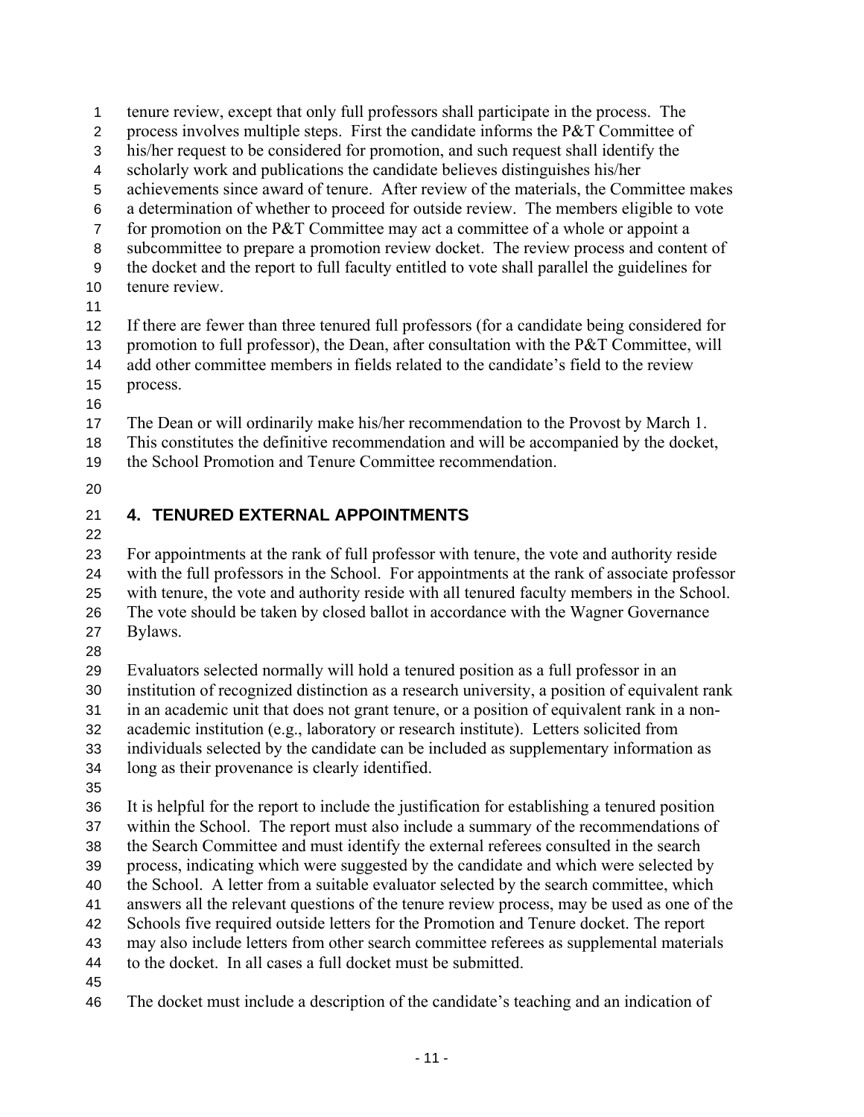tenure review, except that only full professors shall participate in the process. The 1

- process involves multiple steps. First the candidate informs the P&T Committee of 2
- his/her request to be considered for promotion, and such request shall identify the 3
- scholarly work and publications the candidate believes distinguishes his/her 4
- achievements since award of tenure. After review of the materials, the Committee makes 5
- a determination of whether to proceed for outside review. The members eligible to vote 6
- for promotion on the P&T Committee may act a committee of a whole or appoint a 7
- subcommittee to prepare a promotion review docket. The review process and content of 8
- the docket and the report to full faculty entitled to vote shall parallel the guidelines for tenure review. 9 10
- 11
- 12 If there are fewer than three tenured full professors (for a candidate being considered for
- 13 promotion to full professor), the Dean, after consultation with the P&T Committee, will
- 14 15 add other committee members in fields related to the candidate's field to the review process.
- 16
- 17 The Dean or will ordinarily make his/her recommendation to the Provost by March 1.
- 18 This constitutes the definitive recommendation and will be accompanied by the docket,
- 19 the School Promotion and Tenure Committee recommendation.
- 20

### 21 **4. TENURED EXTERNAL APPOINTMENTS**

22

23 24 25 26 27 For appointments at the rank of full professor with tenure, the vote and authority reside with the full professors in the School. For appointments at the rank of associate professor with tenure, the vote and authority reside with all tenured faculty members in the School. The vote should be taken by closed ballot in accordance with the Wagner Governance Bylaws.

28

29 30 31 32 33 34 Evaluators selected normally will hold a tenured position as a full professor in an institution of recognized distinction as a research university, a position of equivalent rank in an academic unit that does not grant tenure, or a position of equivalent rank in a nonacademic institution (e.g., laboratory or research institute). Letters solicited from individuals selected by the candidate can be included as supplementary information as long as their provenance is clearly identified.

35

36 37 38 39 It is helpful for the report to include the justification for establishing a tenured position within the School. The report must also include a summary of the recommendations of the Search Committee and must identify the external referees consulted in the search process, indicating which were suggested by the candidate and which were selected by

- 40 the School. A letter from a suitable evaluator selected by the search committee, which
- 41 answers all the relevant questions of the tenure review process, may be used as one of the
- 42 Schools five required outside letters for the Promotion and Tenure docket. The report
- 43 may also include letters from other search committee referees as supplemental materials
- 44 to the docket. In all cases a full docket must be submitted.
- 45

46 The docket must include a description of the candidate's teaching and an indication of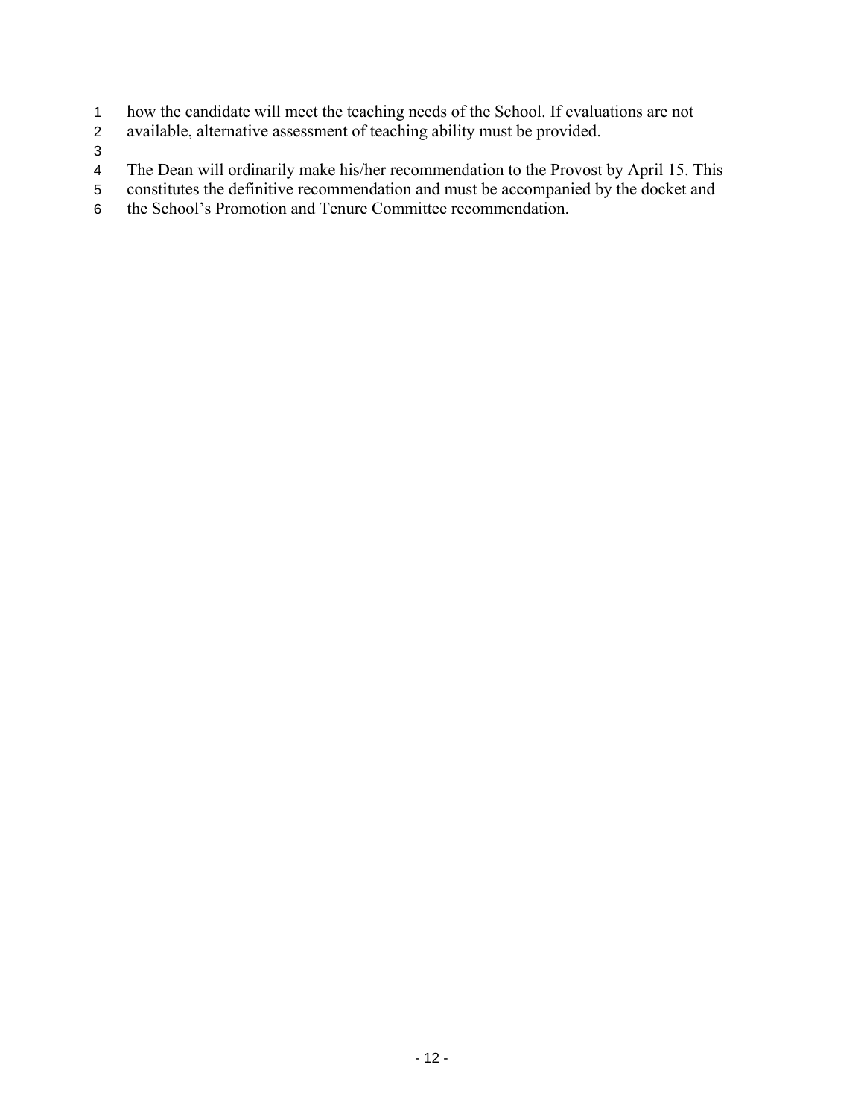- how the candidate will meet the teaching needs of the School. If evaluations are not 1
- available, alternative assessment of teaching ability must be provided. 2
- 3
- 4 The Dean will ordinarily make his/her recommendation to the Provost by April 15. This
- 5 constitutes the definitive recommendation and must be accompanied by the docket and
- 6 the School's Promotion and Tenure Committee recommendation.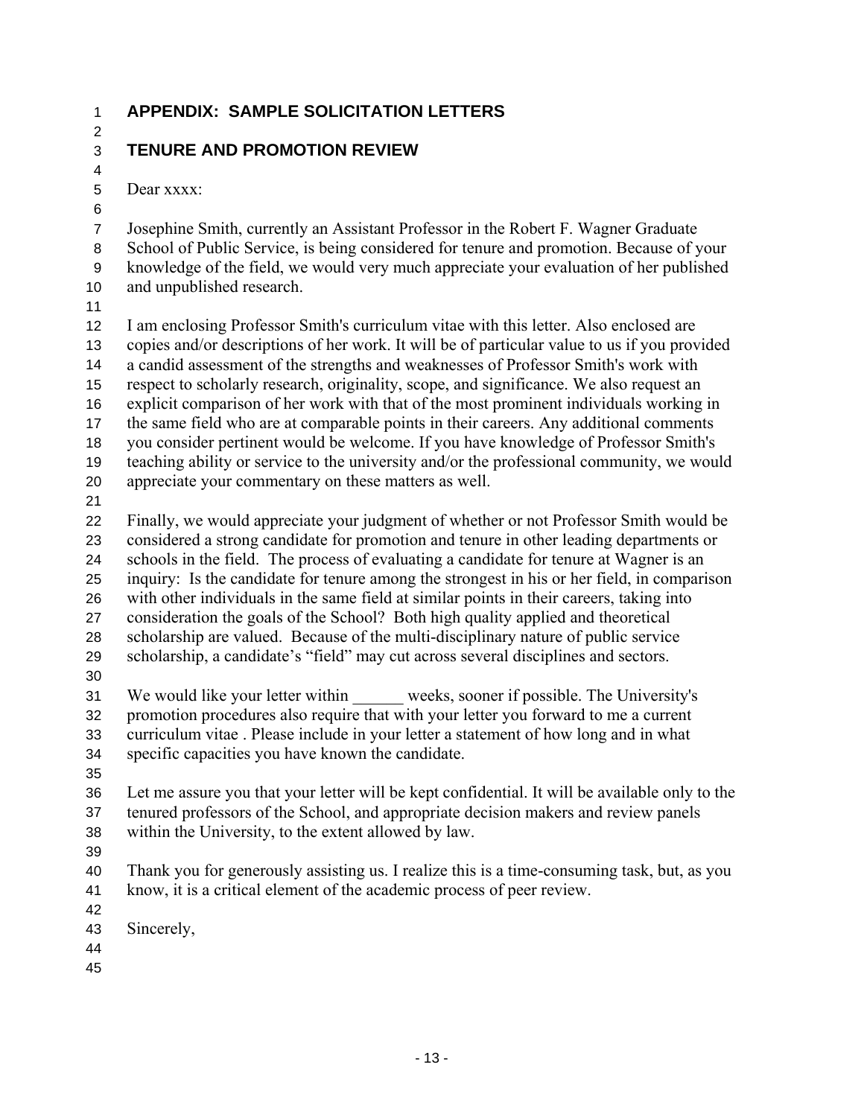2

## 1 **APPENDIX: SAMPLE SOLICITATION LETTERS**

#### 3 **TENURE AND PROMOTION REVIEW**

5 Dear xxxx:

6

4

7 8 9 10 Josephine Smith, currently an Assistant Professor in the Robert F. Wagner Graduate School of Public Service, is being considered for tenure and promotion. Because of your knowledge of the field, we would very much appreciate your evaluation of her published and unpublished research.

11

12 13 14 15 16 17 18 19 20 I am enclosing Professor Smith's curriculum vitae with this letter. Also enclosed are copies and/or descriptions of her work. It will be of particular value to us if you provided a candid assessment of the strengths and weaknesses of Professor Smith's work with respect to scholarly research, originality, scope, and significance. We also request an explicit comparison of her work with that of the most prominent individuals working in the same field who are at comparable points in their careers. Any additional comments you consider pertinent would be welcome. If you have knowledge of Professor Smith's teaching ability or service to the university and/or the professional community, we would appreciate your commentary on these matters as well.

21

22 23 24 25 26 27 28 29 Finally, we would appreciate your judgment of whether or not Professor Smith would be considered a strong candidate for promotion and tenure in other leading departments or schools in the field. The process of evaluating a candidate for tenure at Wagner is an inquiry: Is the candidate for tenure among the strongest in his or her field, in comparison with other individuals in the same field at similar points in their careers, taking into consideration the goals of the School? Both high quality applied and theoretical scholarship are valued.Because of the multi-disciplinary nature of public service scholarship, a candidate's "field" may cut across several disciplines and sectors.

30

31 32 33 34 We would like your letter within weeks, sooner if possible. The University's promotion procedures also require that with your letter you forward to me a current curriculum vitae . Please include in your letter a statement of how long and in what specific capacities you have known the candidate.

35

36 37 38 Let me assure you that your letter will be kept confidential. It will be available only to the tenured professors of the School, and appropriate decision makers and review panels within the University, to the extent allowed by law.

39

40 41 Thank you for generously assisting us. I realize this is a time-consuming task, but, as you know, it is a critical element of the academic process of peer review.

- 42
- 43 Sincerely,
- 44
- 45